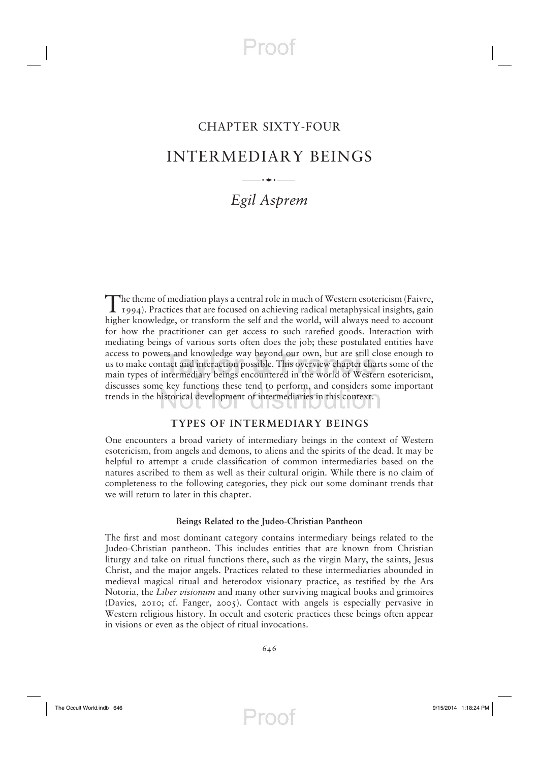# -raot

### CHAPTER SIXTY-FOUR

### INTERMEDIARY BEINGS

### *Egil Asprem*

The theme of mediation plays a central role in much of Western esotericism (Faivre, 1994). Practices that are focused on achieving radical metaphysical insights, gain higher knowledge, or transform the self and the world, will always need to account for how the practitioner can get access to such rarefied goods. Interaction with mediating beings of various sorts often does the job; these postulated entities have access to powers and knowledge way beyond our own, but are still close enough to us to make contact and interaction possible. This overview chapter charts some of the main types of intermediary beings encountered in the world of Western esotericism, discusses some key functions these tend to perform, and considers some important trends in the historical development of intermediaries in this context.

#### **TYPES OF INTERMEDIARY BEINGS**

One encounters a broad variety of intermediary beings in the context of Western esotericism, from angels and demons, to aliens and the spirits of the dead. It may be helpful to attempt a crude classification of common intermediaries based on the natures ascribed to them as well as their cultural origin. While there is no claim of completeness to the following categories, they pick out some dominant trends that we will return to later in this chapter.

#### **Beings Related to the Judeo-Christian Pantheon**

The first and most dominant category contains intermediary beings related to the Judeo-Christian pantheon. This includes entities that are known from Christian liturgy and take on ritual functions there, such as the virgin Mary, the saints, Jesus Christ, and the major angels. Practices related to these intermediaries abounded in medieval magical ritual and heterodox visionary practice, as testified by the Ars Notoria, the *Liber visionum* and many other surviving magical books and grimoires (Davies, 2010; cf. Fanger, 2005). Contact with angels is especially pervasive in Western religious history. In occult and esoteric practices these beings often appear in visions or even as the object of ritual invocations.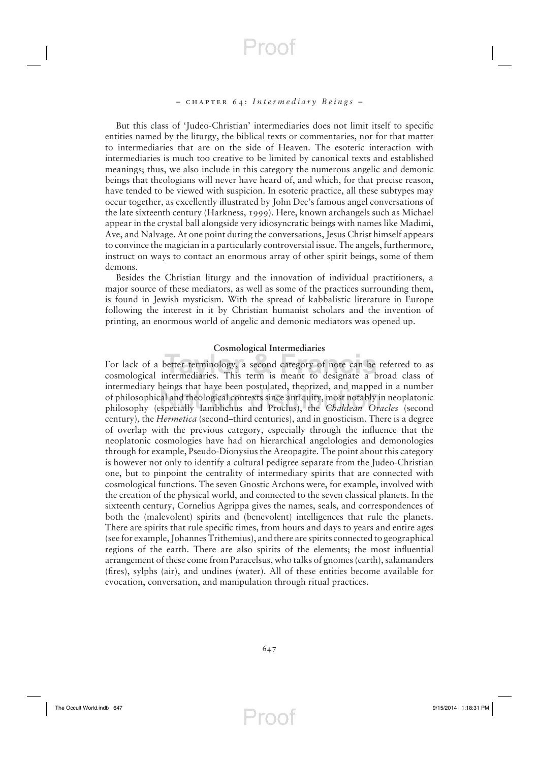#### *–* chapter 64: *Intermediary Beings –*

But this class of 'Judeo-Christian' intermediaries does not limit itself to specific entities named by the liturgy, the biblical texts or commentaries, nor for that matter to intermediaries that are on the side of Heaven. The esoteric interaction with intermediaries is much too creative to be limited by canonical texts and established meanings; thus, we also include in this category the numerous angelic and demonic beings that theologians will never have heard of, and which, for that precise reason, have tended to be viewed with suspicion. In esoteric practice, all these subtypes may occur together, as excellently illustrated by John Dee's famous angel conversations of the late sixteenth century (Harkness, 1999). Here, known archangels such as Michael appear in the crystal ball alongside very idiosyncratic beings with names like Madimi, Ave, and Nalvage. At one point during the conversations, Jesus Christ himself appears to convince the magician in a particularly controversial issue. The angels, furthermore, instruct on ways to contact an enormous array of other spirit beings, some of them demons.

Besides the Christian liturgy and the innovation of individual practitioners, a major source of these mediators, as well as some of the practices surrounding them, is found in Jewish mysticism. With the spread of kabbalistic literature in Europe following the interest in it by Christian humanist scholars and the invention of printing, an enormous world of angelic and demonic mediators was opened up.

#### **Cosmological Intermediaries**

For lack of a better terminology, a second category of note can be referred to as cosmological intermediaries. This term is meant to designate a broad class of intermediary beings that have been postulated, theorized, and mapped in a number of philosophical and theological contexts since antiquity, most notably in neoplatonic philosophy (especially Iamblichus and Proclus), the *Chaldean Oracles* (second century), the *Hermetica* (second–third centuries), and in gnosticism. There is a degree of overlap with the previous category, especially through the influence that the neoplatonic cosmologies have had on hierarchical angelologies and demonologies through for example, Pseudo-Dionysius the Areopagite. The point about this category is however not only to identify a cultural pedigree separate from the Judeo-Christian one, but to pinpoint the centrality of intermediary spirits that are connected with cosmological functions. The seven Gnostic Archons were, for example, involved with the creation of the physical world, and connected to the seven classical planets. In the sixteenth century, Cornelius Agrippa gives the names, seals, and correspondences of both the (malevolent) spirits and (benevolent) intelligences that rule the planets. There are spirits that rule specific times, from hours and days to years and entire ages (see for example, Johannes Trithemius), and there are spirits connected to geographical regions of the earth. There are also spirits of the elements; the most influential arrangement of these come from Paracelsus, who talks of gnomes (earth), salamanders (fires), sylphs (air), and undines (water). All of these entities become available for evocation, conversation, and manipulation through ritual practices.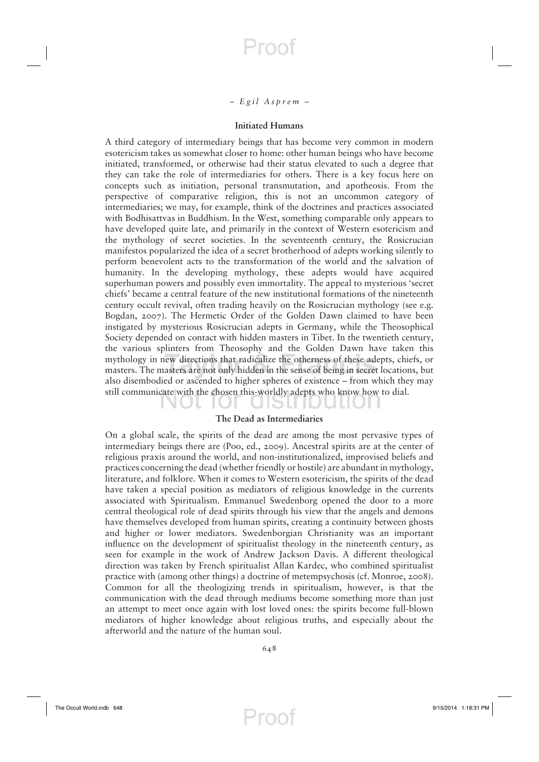#### *– Egil Asprem –*

#### **Initiated Humans**

A third category of intermediary beings that has become very common in modern esotericism takes us somewhat closer to home: other human beings who have become initiated, transformed, or otherwise had their status elevated to such a degree that they can take the role of intermediaries for others. There is a key focus here on concepts such as initiation, personal transmutation, and apotheosis. From the perspective of comparative religion, this is not an uncommon category of intermediaries; we may, for example, think of the doctrines and practices associated with Bodhisattvas in Buddhism. In the West, something comparable only appears to have developed quite late, and primarily in the context of Western esotericism and the mythology of secret societies. In the seventeenth century, the Rosicrucian manifestos popularized the idea of a secret brotherhood of adepts working silently to perform benevolent acts to the transformation of the world and the salvation of humanity. In the developing mythology, these adepts would have acquired superhuman powers and possibly even immortality. The appeal to mysterious 'secret chiefs' became a central feature of the new institutional formations of the nineteenth century occult revival, often trading heavily on the Rosicrucian mythology (see e.g. Bogdan, 2007). The Hermetic Order of the Golden Dawn claimed to have been instigated by mysterious Rosicrucian adepts in Germany, while the Theosophical Society depended on contact with hidden masters in Tibet. In the twentieth century, the various splinters from Theosophy and the Golden Dawn have taken this mythology in new directions that radicalize the otherness of these adepts, chiefs, or masters. The masters are not only hidden in the sense of being in secret locations, but also disembodied or ascended to higher spheres of existence – from which they may still communicate with the chosen this-worldly adepts who know how to dial.

#### **The Dead as Intermediaries**

On a global scale, the spirits of the dead are among the most pervasive types of intermediary beings there are (Poo, ed., 2009). Ancestral spirits are at the center of religious praxis around the world, and non-institutionalized, improvised beliefs and practices concerning the dead (whether friendly or hostile) are abundant in mythology, literature, and folklore. When it comes to Western esotericism, the spirits of the dead have taken a special position as mediators of religious knowledge in the currents associated with Spiritualism. Emmanuel Swedenborg opened the door to a more central theological role of dead spirits through his view that the angels and demons have themselves developed from human spirits, creating a continuity between ghosts and higher or lower mediators. Swedenborgian Christianity was an important influence on the development of spiritualist theology in the nineteenth century, as seen for example in the work of Andrew Jackson Davis. A different theological direction was taken by French spiritualist Allan Kardec, who combined spiritualist practice with (among other things) a doctrine of metempsychosis (cf. Monroe, 2008). Common for all the theologizing trends in spiritualism, however, is that the communication with the dead through mediums become something more than just an attempt to meet once again with lost loved ones: the spirits become full-blown mediators of higher knowledge about religious truths, and especially about the afterworld and the nature of the human soul.

648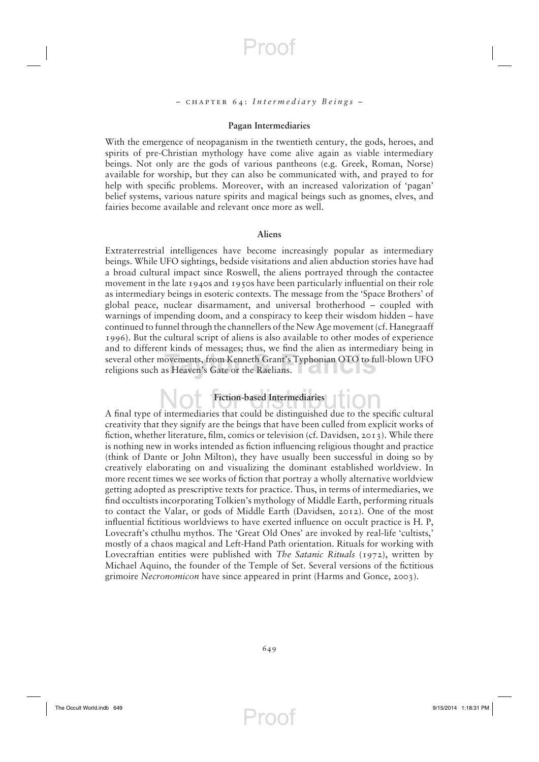#### *–* chapter 64: *Intermediary Beings –*

#### **Pagan Intermediaries**

With the emergence of neopaganism in the twentieth century, the gods, heroes, and spirits of pre-Christian mythology have come alive again as viable intermediary beings. Not only are the gods of various pantheons (e.g. Greek, Roman, Norse) available for worship, but they can also be communicated with, and prayed to for help with specific problems. Moreover, with an increased valorization of 'pagan' belief systems, various nature spirits and magical beings such as gnomes, elves, and fairies become available and relevant once more as well.

#### **Aliens**

Extraterrestrial intelligences have become increasingly popular as intermediary beings. While UFO sightings, bedside visitations and alien abduction stories have had a broad cultural impact since Roswell, the aliens portrayed through the contactee movement in the late 1940s and 1950s have been particularly influential on their role as intermediary beings in esoteric contexts. The message from the 'Space Brothers' of global peace, nuclear disarmament, and universal brotherhood – coupled with warnings of impending doom, and a conspiracy to keep their wisdom hidden – have continued to funnel through the channellers of the New Age movement (cf. Hanegraaff 1996). But the cultural script of aliens is also available to other modes of experience and to different kinds of messages; thus, we find the alien as intermediary being in several other movements, from Kenneth Grant's Typhonian OTO to full-blown UFO religions such as Heaven's Gate or the Raelians.

### **Fiction-based Intermediaries**

A final type of intermediaries that could be distinguished due to the specific cultural creativity that they signify are the beings that have been culled from explicit works of fiction, whether literature, film, comics or television (cf. Davidsen, 2013). While there is nothing new in works intended as fiction influencing religious thought and practice (think of Dante or John Milton), they have usually been successful in doing so by creatively elaborating on and visualizing the dominant established worldview. In more recent times we see works of fiction that portray a wholly alternative worldview getting adopted as prescriptive texts for practice. Thus, in terms of intermediaries, we find occultists incorporating Tolkien's mythology of Middle Earth, performing rituals to contact the Valar, or gods of Middle Earth (Davidsen, 2012). One of the most influential fictitious worldviews to have exerted influence on occult practice is H. P, Lovecraft's cthulhu mythos. The 'Great Old Ones' are invoked by real-life 'cultists,' mostly of a chaos magical and Left-Hand Path orientation. Rituals for working with Lovecraftian entities were published with *The Satanic Rituals* (1972), written by Michael Aquino, the founder of the Temple of Set. Several versions of the fictitious grimoire *Necronomicon* have since appeared in print (Harms and Gonce, 2003).

Proot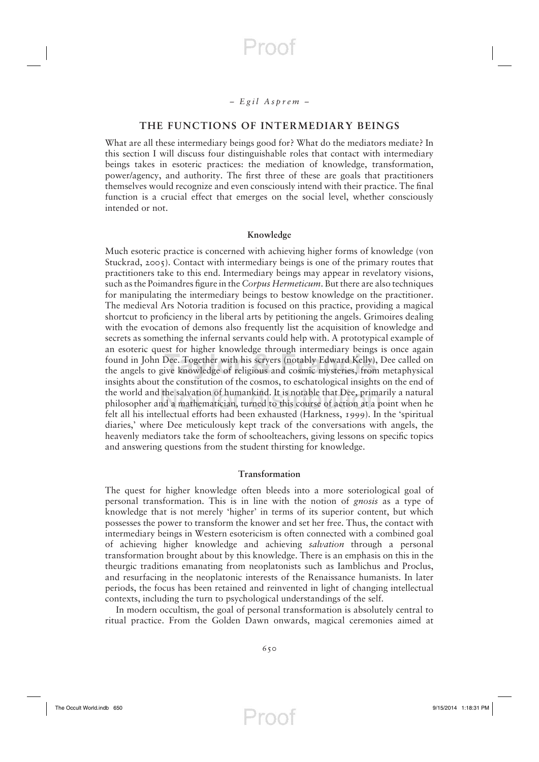Proot

#### **THE FUNCTIONS OF INTERMEDIARY BEINGS**

What are all these intermediary beings good for? What do the mediators mediate? In this section I will discuss four distinguishable roles that contact with intermediary beings takes in esoteric practices: the mediation of knowledge, transformation, power/agency, and authority. The first three of these are goals that practitioners themselves would recognize and even consciously intend with their practice. The final function is a crucial effect that emerges on the social level, whether consciously intended or not.

#### **Knowledge**

Much esoteric practice is concerned with achieving higher forms of knowledge (von Stuckrad, 2005). Contact with intermediary beings is one of the primary routes that practitioners take to this end. Intermediary beings may appear in revelatory visions, such as the Poimandres figure in the *Corpus Hermeticum*. But there are also techniques for manipulating the intermediary beings to bestow knowledge on the practitioner. The medieval Ars Notoria tradition is focused on this practice, providing a magical shortcut to proficiency in the liberal arts by petitioning the angels. Grimoires dealing with the evocation of demons also frequently list the acquisition of knowledge and secrets as something the infernal servants could help with. A prototypical example of an esoteric quest for higher knowledge through intermediary beings is once again found in John Dee. Together with his scryers (notably Edward Kelly), Dee called on the angels to give knowledge of religious and cosmic mysteries, from metaphysical insights about the constitution of the cosmos, to eschatological insights on the end of the world and the salvation of humankind. It is notable that Dee, primarily a natural philosopher and a mathematician, turned to this course of action at a point when he felt all his intellectual efforts had been exhausted (Harkness, 1999). In the 'spiritual diaries,' where Dee meticulously kept track of the conversations with angels, the heavenly mediators take the form of schoolteachers, giving lessons on specific topics and answering questions from the student thirsting for knowledge.

#### **Transformation**

The quest for higher knowledge often bleeds into a more soteriological goal of personal transformation. This is in line with the notion of *gnosis* as a type of knowledge that is not merely 'higher' in terms of its superior content, but which possesses the power to transform the knower and set her free. Thus, the contact with intermediary beings in Western esotericism is often connected with a combined goal of achieving higher knowledge and achieving *salvation* through a personal transformation brought about by this knowledge. There is an emphasis on this in the theurgic traditions emanating from neoplatonists such as Iamblichus and Proclus, and resurfacing in the neoplatonic interests of the Renaissance humanists. In later periods, the focus has been retained and reinvented in light of changing intellectual contexts, including the turn to psychological understandings of the self.

In modern occultism, the goal of personal transformation is absolutely central to ritual practice. From the Golden Dawn onwards, magical ceremonies aimed at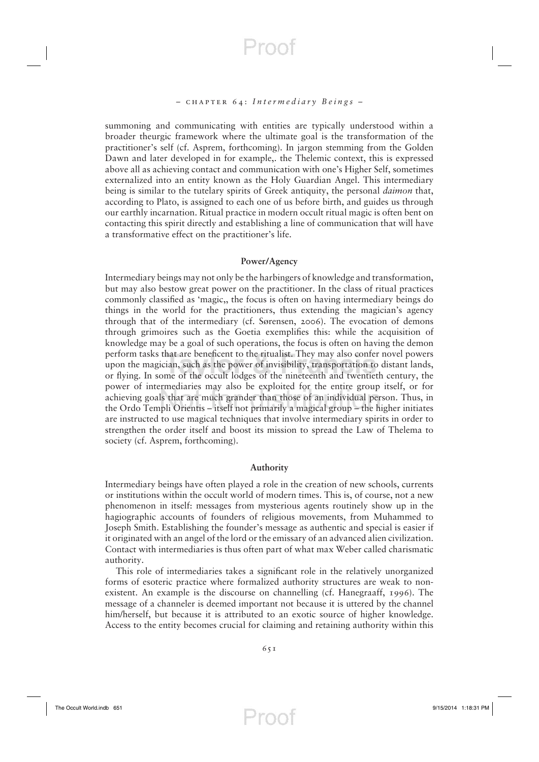#### *–* chapter 64: *Intermediary Beings –*

summoning and communicating with entities are typically understood within a broader theurgic framework where the ultimate goal is the transformation of the practitioner's self (cf. Asprem, forthcoming). In jargon stemming from the Golden Dawn and later developed in for example,. the Thelemic context, this is expressed above all as achieving contact and communication with one's Higher Self, sometimes externalized into an entity known as the Holy Guardian Angel. This intermediary being is similar to the tutelary spirits of Greek antiquity, the personal *daimon* that, according to Plato, is assigned to each one of us before birth, and guides us through our earthly incarnation. Ritual practice in modern occult ritual magic is often bent on contacting this spirit directly and establishing a line of communication that will have a transformative effect on the practitioner's life.

#### **Power/Agency**

Intermediary beings may not only be the harbingers of knowledge and transformation, but may also bestow great power on the practitioner. In the class of ritual practices commonly classified as 'magic,, the focus is often on having intermediary beings do things in the world for the practitioners, thus extending the magician's agency through that of the intermediary (cf. Sørensen, 2006). The evocation of demons through grimoires such as the Goetia exemplifies this: while the acquisition of knowledge may be a goal of such operations, the focus is often on having the demon perform tasks that are beneficent to the ritualist. They may also confer novel powers upon the magician, such as the power of invisibility, transportation to distant lands, or flying. In some of the occult lodges of the nineteenth and twentieth century, the power of intermediaries may also be exploited for the entire group itself, or for achieving goals that are much grander than those of an individual person. Thus, in the Ordo Templi Orientis – itself not primarily a magical group – the higher initiates are instructed to use magical techniques that involve intermediary spirits in order to strengthen the order itself and boost its mission to spread the Law of Thelema to society (cf. Asprem, forthcoming).

#### **Authority**

Intermediary beings have often played a role in the creation of new schools, currents or institutions within the occult world of modern times. This is, of course, not a new phenomenon in itself: messages from mysterious agents routinely show up in the hagiographic accounts of founders of religious movements, from Muhammed to Joseph Smith. Establishing the founder's message as authentic and special is easier if it originated with an angel of the lord or the emissary of an advanced alien civilization. Contact with intermediaries is thus often part of what max Weber called charismatic authority.

This role of intermediaries takes a significant role in the relatively unorganized forms of esoteric practice where formalized authority structures are weak to nonexistent. An example is the discourse on channelling (cf. Hanegraaff, 1996). The message of a channeler is deemed important not because it is uttered by the channel him/herself, but because it is attributed to an exotic source of higher knowledge. Access to the entity becomes crucial for claiming and retaining authority within this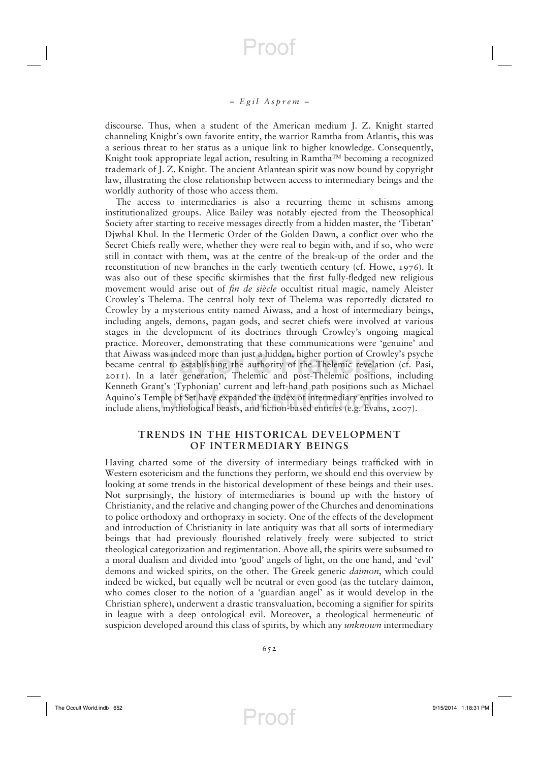Proot

discourse. Thus, when a student of the American medium J. Z. Knight started channeling Knight's own favorite entity, the warrior Ramtha from Atlantis, this was a serious threat to her status as a unique link to higher knowledge. Consequently, Knight took appropriate legal action, resulting in Ramtha™ becoming a recognized trademark of J. Z. Knight. The ancient Atlantean spirit was now bound by copyright law, illustrating the close relationship between access to intermediary beings and the worldly authority of those who access them.

The access to intermediaries is also a recurring theme in schisms among institutionalized groups. Alice Bailey was notably ejected from the Theosophical Society after starting to receive messages directly from a hidden master, the 'Tibetan' Djwhal Khul. In the Hermetic Order of the Golden Dawn, a conflict over who the Secret Chiefs really were, whether they were real to begin with, and if so, who were still in contact with them, was at the centre of the break-up of the order and the reconstitution of new branches in the early twentieth century (cf. Howe, 1976). It was also out of these specific skirmishes that the first fully-fledged new religious movement would arise out of *fin de siècle* occultist ritual magic, namely Aleister Crowley's Thelema. The central holy text of Thelema was reportedly dictated to Crowley by a mysterious entity named Aiwass, and a host of intermediary beings, including angels, demons, pagan gods, and secret chiefs were involved at various stages in the development of its doctrines through Crowley's ongoing magical practice. Moreover, demonstrating that these communications were 'genuine' and that Aiwass was indeed more than just a hidden, higher portion of Crowley's psyche became central to establishing the authority of the Thelemic revelation (cf. Pasi, 2011). In a later generation, Thelemic and post-Thelemic positions, including Kenneth Grant's 'Typhonian' current and left-hand path positions such as Michael Aquino's Temple of Set have expanded the index of intermediary entities involved to include aliens, mythological beasts, and fiction-based entities (e.g. Evans,  $2007$ ).

#### **TRENDS IN THE HISTORICAL DEVELOPMENT OF INTERMEDIARY BEINGS**

Having charted some of the diversity of intermediary beings trafficked with in Western esotericism and the functions they perform, we should end this overview by looking at some trends in the historical development of these beings and their uses. Not surprisingly, the history of intermediaries is bound up with the history of Christianity, and the relative and changing power of the Churches and denominations to police orthodoxy and orthopraxy in society. One of the effects of the development and introduction of Christianity in late antiquity was that all sorts of intermediary beings that had previously flourished relatively freely were subjected to strict theological categorization and regimentation. Above all, the spirits were subsumed to a moral dualism and divided into 'good' angels of light, on the one hand, and 'evil' demons and wicked spirits, on the other. The Greek generic *daimon*, which could indeed be wicked, but equally well be neutral or even good (as the tutelary daimon, who comes closer to the notion of a 'guardian angel' as it would develop in the Christian sphere), underwent a drastic transvaluation, becoming a signifier for spirits in league with a deep ontological evil. Moreover, a theological hermeneutic of suspicion developed around this class of spirits, by which any *unknown* intermediary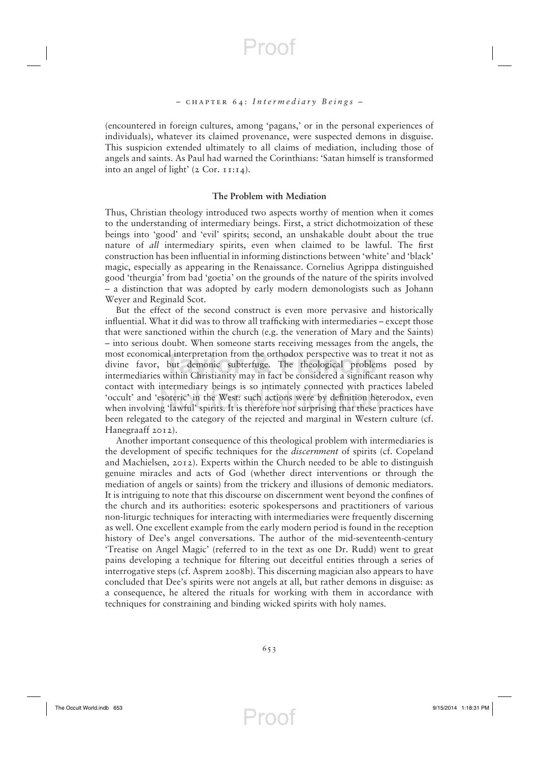(encountered in foreign cultures, among 'pagans,' or in the personal experiences of individuals), whatever its claimed provenance, were suspected demons in disguise. This suspicion extended ultimately to all claims of mediation, including those of angels and saints. As Paul had warned the Corinthians: 'Satan himself is transformed into an angel of light'  $(2 \text{ Cor. II:14}).$ 

#### **The Problem with Mediation**

Thus, Christian theology introduced two aspects worthy of mention when it comes to the understanding of intermediary beings. First, a strict dichotmoization of these beings into 'good' and 'evil' spirits; second, an unshakable doubt about the true nature of *all* intermediary spirits, even when claimed to be lawful. The first construction has been influential in informing distinctions between 'white' and 'black' magic, especially as appearing in the Renaissance. Cornelius Agrippa distinguished good 'theurgia' from bad 'goetia' on the grounds of the nature of the spirits involved – a distinction that was adopted by early modern demonologists such as Johann Weyer and Reginald Scot.

But the effect of the second construct is even more pervasive and historically influential. What it did was to throw all trafficking with intermediaries – except those that were sanctioned within the church (e.g. the veneration of Mary and the Saints) – into serious doubt. When someone starts receiving messages from the angels, the most economical interpretation from the orthodox perspective was to treat it not as divine favor, but demonic subterfuge. The theological problems posed by intermediaries within Christianity may in fact be considered a significant reason why contact with intermediary beings is so intimately connected with practices labeled 'occult' and 'esoteric' in the West: such actions were by definition heterodox, even when involving 'lawful' spirits. It is therefore not surprising that these practices have been relegated to the category of the rejected and marginal in Western culture (cf. Hanegraaff 2012).

Another important consequence of this theological problem with intermediaries is the development of specifi c techniques for the *discernment* of spirits (cf. Copeland and Machielsen, 2012). Experts within the Church needed to be able to distinguish genuine miracles and acts of God (whether direct interventions or through the mediation of angels or saints) from the trickery and illusions of demonic mediators. It is intriguing to note that this discourse on discernment went beyond the confines of the church and its authorities: esoteric spokespersons and practitioners of various non-liturgic techniques for interacting with intermediaries were frequently discerning as well. One excellent example from the early modern period is found in the reception history of Dee's angel conversations. The author of the mid-seventeenth-century 'Treatise on Angel Magic' (referred to in the text as one Dr. Rudd) went to great pains developing a technique for filtering out deceitful entities through a series of interrogative steps (cf. Asprem 2008b). This discerning magician also appears to have concluded that Dee's spirits were not angels at all, but rather demons in disguise: as a consequence, he altered the rituals for working with them in accordance with techniques for constraining and binding wicked spirits with holy names.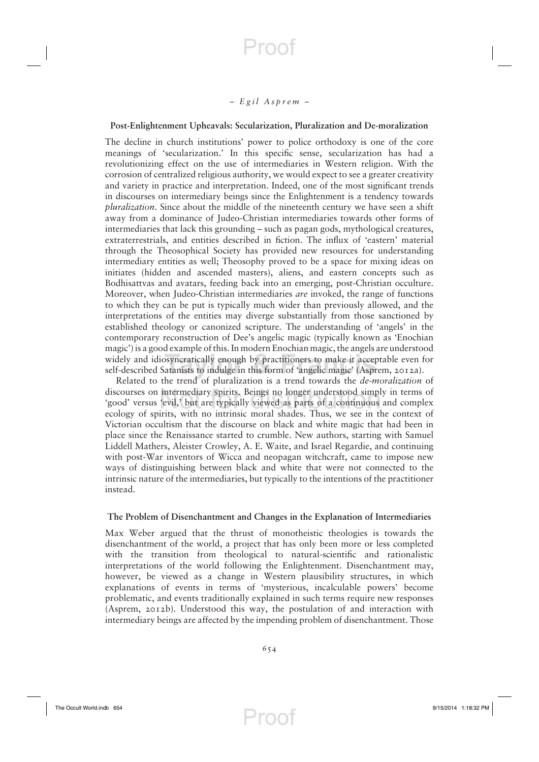Proot

#### **Post-Enlightenment Upheavals: Secularization, Pluralization and De-moralization**

The decline in church institutions' power to police orthodoxy is one of the core meanings of 'secularization.' In this specific sense, secularization has had a revolutionizing effect on the use of intermediaries in Western religion. With the corrosion of centralized religious authority, we would expect to see a greater creativity and variety in practice and interpretation. Indeed, one of the most significant trends in discourses on intermediary beings since the Enlightenment is a tendency towards *pluralization*. Since about the middle of the nineteenth century we have seen a shift away from a dominance of Judeo-Christian intermediaries towards other forms of intermediaries that lack this grounding – such as pagan gods, mythological creatures, extraterrestrials, and entities described in fiction. The influx of 'eastern' material through the Theosophical Society has provided new resources for understanding intermediary entities as well; Theosophy proved to be a space for mixing ideas on initiates (hidden and ascended masters), aliens, and eastern concepts such as Bodhisattvas and avatars, feeding back into an emerging, post-Christian occulture. Moreover, when Judeo-Christian intermediaries *are* invoked, the range of functions to which they can be put is typically much wider than previously allowed, and the interpretations of the entities may diverge substantially from those sanctioned by established theology or canonized scripture. The understanding of 'angels' in the contemporary reconstruction of Dee's angelic magic (typically known as 'Enochian magic') is a good example of this. In modern Enochian magic, the angels are understood widely and idiosyncratically enough by practitioners to make it acceptable even for self-described Satanists to indulge in this form of 'angelic magic' (Asprem, 2012a).

Related to the trend of pluralization is a trend towards the *de-moralization* of discourses on intermediary spirits. Beings no longer understood simply in terms of 'good' versus 'evil,' but are typically viewed as parts of a continuous and complex ecology of spirits, with no intrinsic moral shades. Thus, we see in the context of Victorian occultism that the discourse on black and white magic that had been in place since the Renaissance started to crumble. New authors, starting with Samuel Liddell Mathers, Aleister Crowley, A. E. Waite, and Israel Regardie, and continuing with post-War inventors of Wicca and neopagan witchcraft, came to impose new ways of distinguishing between black and white that were not connected to the intrinsic nature of the intermediaries, but typically to the intentions of the practitioner instead.

#### **The Problem of Disenchantment and Changes in the Explanation of Intermediaries**

Max Weber argued that the thrust of monotheistic theologies is towards the disenchantment of the world, a project that has only been more or less completed with the transition from theological to natural-scientific and rationalistic interpretations of the world following the Enlightenment. Disenchantment may, however, be viewed as a change in Western plausibility structures, in which explanations of events in terms of 'mysterious, incalculable powers' become problematic, and events traditionally explained in such terms require new responses (Asprem, 2012b). Understood this way, the postulation of and interaction with intermediary beings are affected by the impending problem of disenchantment. Those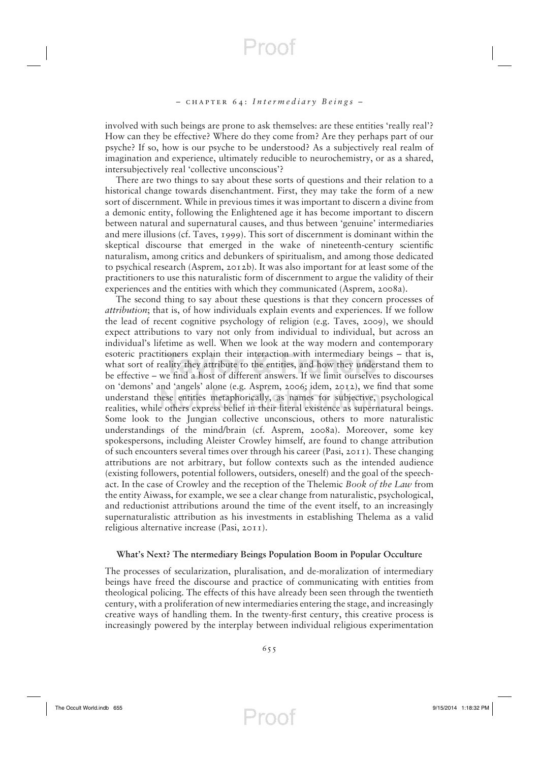### *–* chapter 64: *Intermediary Beings –*

Proot

involved with such beings are prone to ask themselves: are these entities 'really real'? How can they be effective? Where do they come from? Are they perhaps part of our psyche? If so, how is our psyche to be understood? As a subjectively real realm of imagination and experience, ultimately reducible to neurochemistry, or as a shared, intersubjectively real 'collective unconscious'?

There are two things to say about these sorts of questions and their relation to a historical change towards disenchantment. First, they may take the form of a new sort of discernment. While in previous times it was important to discern a divine from a demonic entity, following the Enlightened age it has become important to discern between natural and supernatural causes, and thus between 'genuine' intermediaries and mere illusions (cf. Taves, 1999). This sort of discernment is dominant within the skeptical discourse that emerged in the wake of nineteenth-century scientific naturalism, among critics and debunkers of spiritualism, and among those dedicated to psychical research (Asprem, 2012b). It was also important for at least some of the practitioners to use this naturalistic form of discernment to argue the validity of their experiences and the entities with which they communicated (Asprem, 2008a).

The second thing to say about these questions is that they concern processes of *attribution*; that is, of how individuals explain events and experiences. If we follow the lead of recent cognitive psychology of religion (e.g. Taves, 2009), we should expect attributions to vary not only from individual to individual, but across an individual's lifetime as well. When we look at the way modern and contemporary esoteric practitioners explain their interaction with intermediary beings – that is, what sort of reality they attribute to the entities, and how they understand them to be effective – we find a host of different answers. If we limit ourselves to discourses on 'demons' and 'angels' alone (e.g. Asprem, 2006; idem, 2012), we find that some understand these entities metaphorically, as names for subjective, psychological realities, while others express belief in their literal existence as supernatural beings. Some look to the Jungian collective unconscious, others to more naturalistic understandings of the mind/brain (cf. Asprem, 2008a). Moreover, some key spokespersons, including Aleister Crowley himself, are found to change attribution of such encounters several times over through his career (Pasi, 2011). These changing attributions are not arbitrary, but follow contexts such as the intended audience (existing followers, potential followers, outsiders, oneself) and the goal of the speechact. In the case of Crowley and the reception of the Thelemic *Book of the Law* from the entity Aiwass, for example, we see a clear change from naturalistic, psychological, and reductionist attributions around the time of the event itself, to an increasingly supernaturalistic attribution as his investments in establishing Thelema as a valid religious alternative increase (Pasi, 2011).

#### **What's Next? The ntermediary Beings Population Boom in Popular Occulture**

The processes of secularization, pluralisation, and de-moralization of intermediary beings have freed the discourse and practice of communicating with entities from theological policing. The effects of this have already been seen through the twentieth century, with a proliferation of new intermediaries entering the stage, and increasingly creative ways of handling them. In the twenty-first century, this creative process is increasingly powered by the interplay between individual religious experimentation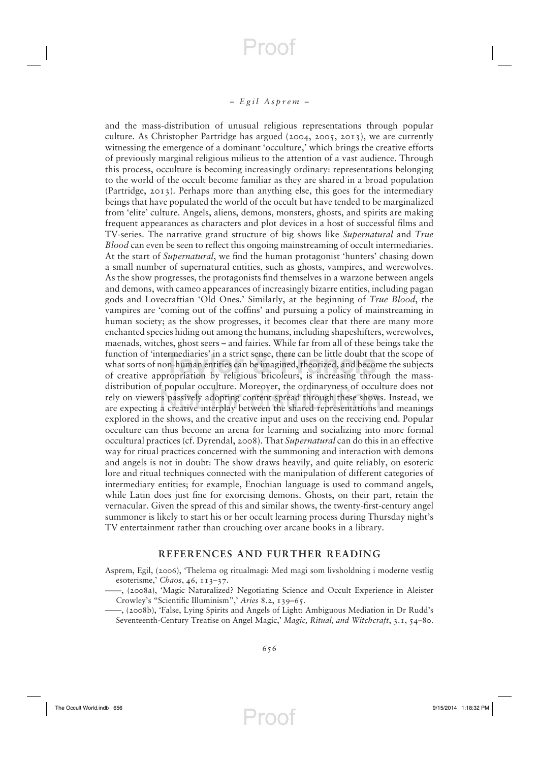#### *– Egil Asprem –*

and the mass-distribution of unusual religious representations through popular culture. As Christopher Partridge has argued (2004, 2005, 2013), we are currently witnessing the emergence of a dominant 'occulture,' which brings the creative efforts of previously marginal religious milieus to the attention of a vast audience. Through this process, occulture is becoming increasingly ordinary: representations belonging to the world of the occult become familiar as they are shared in a broad population (Partridge, 2013). Perhaps more than anything else, this goes for the intermediary beings that have populated the world of the occult but have tended to be marginalized from 'elite' culture. Angels, aliens, demons, monsters, ghosts, and spirits are making frequent appearances as characters and plot devices in a host of successful films and TV-series. The narrative grand structure of big shows like *Supernatural* and *True Blood* can even be seen to reflect this ongoing mainstreaming of occult intermediaries. At the start of *Supernatural*, we find the human protagonist 'hunters' chasing down a small number of supernatural entities, such as ghosts, vampires, and werewolves. As the show progresses, the protagonists find themselves in a warzone between angels and demons, with cameo appearances of increasingly bizarre entities, including pagan gods and Lovecraftian 'Old Ones.' Similarly, at the beginning of *True Blood*, the vampires are 'coming out of the coffins' and pursuing a policy of mainstreaming in human society; as the show progresses, it becomes clear that there are many more enchanted species hiding out among the humans, including shapeshifters, werewolves, maenads, witches, ghost seers – and fairies. While far from all of these beings take the function of 'intermediaries' in a strict sense, there can be little doubt that the scope of what sorts of non-human entities can be imagined, theorized, and become the subjects of creative appropriation by religious bricoleurs, is increasing through the massdistribution of popular occulture. Moreover, the ordinaryness of occulture does not rely on viewers passively adopting content spread through these shows. Instead, we are expecting a creative interplay between the shared representations and meanings explored in the shows, and the creative input and uses on the receiving end. Popular occulture can thus become an arena for learning and socializing into more formal occultural practices (cf. Dyrendal, 2008). That *Supernatural* can do this in an effective way for ritual practices concerned with the summoning and interaction with demons and angels is not in doubt: The show draws heavily, and quite reliably, on esoteric lore and ritual techniques connected with the manipulation of different categories of intermediary entities; for example, Enochian language is used to command angels, while Latin does just fine for exorcising demons. Ghosts, on their part, retain the vernacular. Given the spread of this and similar shows, the twenty-first-century angel summoner is likely to start his or her occult learning process during Thursday night's TV entertainment rather than crouching over arcane books in a library.

#### **REFERENCES AND FURTHER READING**

Asprem, Egil, (2006), 'Thelema og ritualmagi: Med magi som livsholdning i moderne vestlig esoterisme,' *Chaos*, 46, 113–37.

——, (2008a), 'Magic Naturalized? Negotiating Science and Occult Experience in Aleister Crowley's "Scientific Illuminism",' Aries 8.2, 139-65.

——, (2008b), 'False, Lying Spirits and Angels of Light: Ambiguous Mediation in Dr Rudd's Seventeenth-Century Treatise on Angel Magic,' *Magic, Ritual, and Witchcraft*, 3.1, 54–80.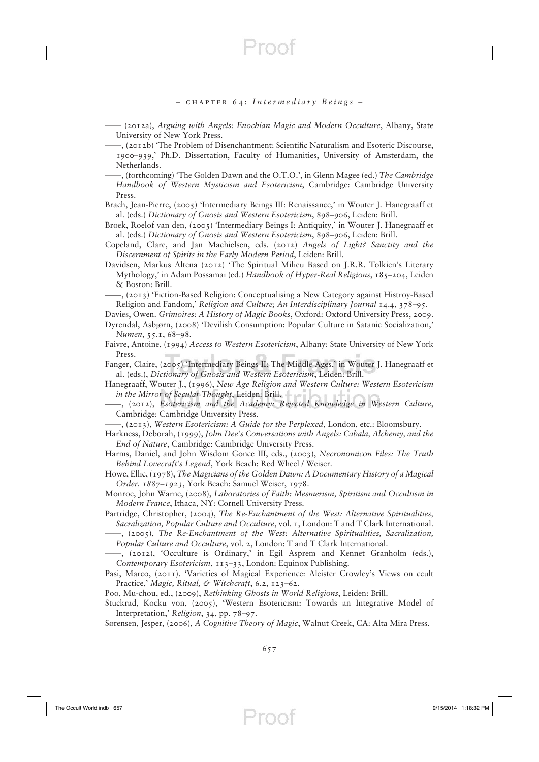—— (2012a), *Arguing with Angels: Enochian Magic and Modern Occulture*, Albany, State University of New York Press.

——, (2012b) 'The Problem of Disenchantment: Scientifi c Naturalism and Esoteric Discourse, 1900–939,' Ph.D. Dissertation, Faculty of Humanities, University of Amsterdam, the Netherlands.

——, (forthcoming) 'The Golden Dawn and the O.T.O.', in Glenn Magee (ed.) *The Cambridge Handbook of Western Mysticism and Esotericism*, Cambridge: Cambridge University Press.

Brach, Jean-Pierre, (2005) 'Intermediary Beings III: Renaissance,' in Wouter J. Hanegraaff et al. (eds.) *Dictionary of Gnosis and Western Esotericism*, 898–906, Leiden: Brill.

Broek, Roelof van den, (2005) 'Intermediary Beings I: Antiquity,' in Wouter J. Hanegraaff et al. (eds.) *Dictionary of Gnosis and Western Esotericism*, 898–906, Leiden: Brill.

Copeland, Clare, and Jan Machielsen, eds. (2012) *Angels of Light? Sanctity and the Discernment of Spirits in the Early Modern Period*, Leiden: Brill.

Davidsen, Markus Altena (2012) 'The Spiritual Milieu Based on J.R.R. Tolkien's Literary Mythology,' in Adam Possamai (ed.) *Handbook of Hyper-Real Religions*, 185–204, Leiden & Boston: Brill.

——, (2013) 'Fiction-Based Religion: Conceptualising a New Category against Histroy-Based Religion and Fandom,' *Religion and Culture; An Interdisciplinary Journal* 14.4, 378–95.

Davies, Owen. *Grimoires: A History of Magic Books*, Oxford: Oxford University Press, 2009. Dyrendal, Asbjørn, (2008) 'Devilish Consumption: Popular Culture in Satanic Socialization,' *Numen*, 55.1, 68–98.

Faivre, Antoine, (1994) *Access to Western Esotericism*, Albany: State University of New York Press.

Fanger, Claire, (2005) 'Intermediary Beings II: The Middle Ages,' in Wouter J. Hanegraaff et al. (eds.), *Dictionary of Gnosis and Western Esotericism*, Leiden: Brill.

Hanegraaff, Wouter J., (1996), *New Age Religion and Western Culture: Western Esotericism in the Mirror of Secular Thought*, Leiden: Brill.

——, (2012), *Esotericism and the Academy: Rejected Knowledge in Western Culture*, Cambridge: Cambridge University Press.

——, (2013), *Western Esotericism: A Guide for the Perplexed*, London, etc.: Bloomsbury.

Harkness, Deborah, (1999), *John Dee's Conversations with Angels: Cabala, Alchemy, and the End of Nature*, Cambridge: Cambridge University Press.

Harms, Daniel, and John Wisdom Gonce III, eds., (2003), *Necronomicon Files: The Truth Behind Lovecraft's Legend*, York Beach: Red Wheel / Weiser.

Howe, Ellic, (1978), *The Magicians of the Golden Dawn: A Documentary History of a Magical Order, 1887–1923*, York Beach: Samuel Weiser, 1978.

Monroe, John Warne, (2008), *Laboratories of Faith: Mesmerism, Spiritism and Occultism in Modern France*, Ithaca, NY: Cornell University Press.

Partridge, Christopher, (2004), *The Re-Enchantment of the West: Alternative Spiritualities, Sacralization, Popular Culture and Occulture*, vol. 1, London: T and T Clark International.

——, (2005), *The Re-Enchantment of the West: Alternative Spiritualities, Sacralization, Popular Culture and Occulture*, vol. 2, London: T and T Clark International.

——, (2012), 'Occulture is Ordinary,' in Egil Asprem and Kennet Granholm (eds.), *Contemporary Esotericism*, 113–33, London: Equinox Publishing.

Pasi, Marco, (2011). 'Varieties of Magical Experience: Aleister Crowley's Views on ccult Practice,' *Magic, Ritual, & Witchcraft*, 6.2, 123–62.

Poo, Mu-chou, ed., (2009), *Rethinking Ghosts in World Religions*, Leiden: Brill.

Stuckrad, Kocku von, (2005), 'Western Esotericism: Towards an Integrative Model of Interpretation,' *Religion*, 34, pp. 78–97.

Sørensen, Jesper, (2006), *A Cognitive Theory of Magic*, Walnut Creek, CA: Alta Mira Press.